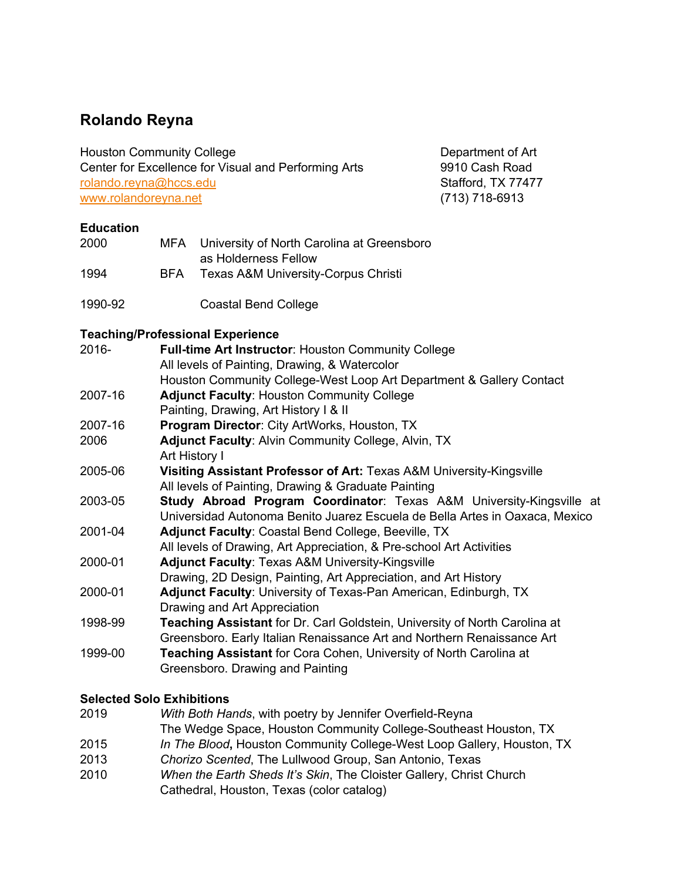# **Rolando Reyna**

Houston Community College **Department of Art** 

Center for Excellence for Visual and Performing Arts 9910 Cash Road rolando.reyna@hccs.edu Stafford, TX 77477 www.rolandoreyna.net (713) 718-6913

### **Education**

| 2000 |     | MFA University of North Carolina at Greensboro |
|------|-----|------------------------------------------------|
|      |     | as Holderness Fellow                           |
| 1994 | BFA | <b>Texas A&amp;M University-Corpus Christi</b> |
|      |     |                                                |

1990-92 Coastal Bend College

#### **Teaching/Professional Experience**

|         | 100011111911101000101101101001101100                                            |
|---------|---------------------------------------------------------------------------------|
| 2016-   | <b>Full-time Art Instructor: Houston Community College</b>                      |
|         | All levels of Painting, Drawing, & Watercolor                                   |
|         | Houston Community College-West Loop Art Department & Gallery Contact            |
| 2007-16 | <b>Adjunct Faculty: Houston Community College</b>                               |
|         | Painting, Drawing, Art History I & II                                           |
| 2007-16 | <b>Program Director: City ArtWorks, Houston, TX</b>                             |
| 2006    | <b>Adjunct Faculty: Alvin Community College, Alvin, TX</b>                      |
|         | Art History I                                                                   |
| 2005-06 | Visiting Assistant Professor of Art: Texas A&M University-Kingsville            |
|         | All levels of Painting, Drawing & Graduate Painting                             |
| 2003-05 | <b>Study Abroad Program Coordinator: Texas A&amp;M University-Kingsville at</b> |
|         | Universidad Autonoma Benito Juarez Escuela de Bella Artes in Oaxaca, Mexico     |
| 2001-04 | <b>Adjunct Faculty: Coastal Bend College, Beeville, TX</b>                      |
|         | All levels of Drawing, Art Appreciation, & Pre-school Art Activities            |
| 2000-01 | <b>Adjunct Faculty: Texas A&amp;M University-Kingsville</b>                     |
|         | Drawing, 2D Design, Painting, Art Appreciation, and Art History                 |
| 2000-01 | <b>Adjunct Faculty: University of Texas-Pan American, Edinburgh, TX</b>         |
|         | Drawing and Art Appreciation                                                    |
| 1998-99 | Teaching Assistant for Dr. Carl Goldstein, University of North Carolina at      |
|         | Greensboro. Early Italian Renaissance Art and Northern Renaissance Art          |
| 1999-00 | <b>Teaching Assistant</b> for Cora Cohen, University of North Carolina at       |
|         | Greensboro. Drawing and Painting                                                |
|         |                                                                                 |

## **Selected Solo Exhibitions**

| 2019 | With Both Hands, with poetry by Jennifer Overfield-Reyna                                                         |
|------|------------------------------------------------------------------------------------------------------------------|
|      | The Wedge Space, Houston Community College-Southeast Houston, TX                                                 |
| 2015 | In The Blood, Houston Community College-West Loop Gallery, Houston, TX                                           |
| 2013 | Chorizo Scented, The Lullwood Group, San Antonio, Texas                                                          |
| 2010 | When the Earth Sheds It's Skin, The Cloister Gallery, Christ Church<br>Cathedral, Houston, Texas (color catalog) |
|      |                                                                                                                  |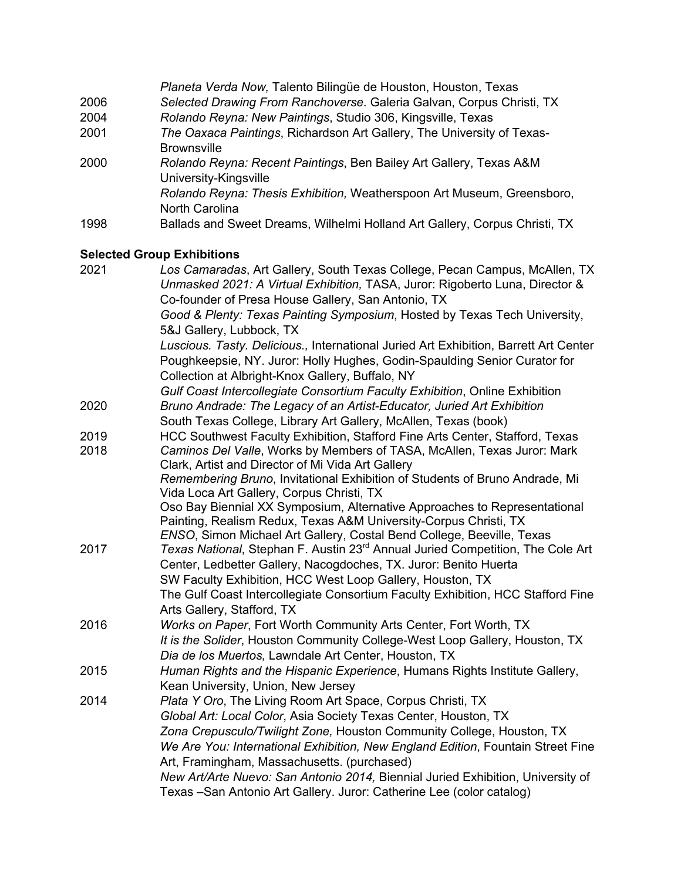|      | Planeta Verda Now, Talento Bilingüe de Houston, Houston, Texas                             |
|------|--------------------------------------------------------------------------------------------|
| 2006 | Selected Drawing From Ranchoverse. Galeria Galvan, Corpus Christi, TX                      |
| 2004 | Rolando Reyna: New Paintings, Studio 306, Kingsville, Texas                                |
| 2001 | The Oaxaca Paintings, Richardson Art Gallery, The University of Texas-                     |
|      | <b>Brownsville</b>                                                                         |
| 2000 | Rolando Reyna: Recent Paintings, Ben Bailey Art Gallery, Texas A&M                         |
|      | University-Kingsville                                                                      |
|      | Rolando Reyna: Thesis Exhibition, Weatherspoon Art Museum, Greensboro,                     |
|      | North Carolina                                                                             |
| 1998 | Ballads and Sweet Dreams, Wilhelmi Holland Art Gallery, Corpus Christi, TX                 |
|      |                                                                                            |
|      | <b>Selected Group Exhibitions</b>                                                          |
| 2021 | Los Camaradas, Art Gallery, South Texas College, Pecan Campus, McAllen, TX                 |
|      | Unmasked 2021: A Virtual Exhibition, TASA, Juror: Rigoberto Luna, Director &               |
|      | Co-founder of Presa House Gallery, San Antonio, TX                                         |
|      | Good & Plenty: Texas Painting Symposium, Hosted by Texas Tech University,                  |
|      | 5&J Gallery, Lubbock, TX                                                                   |
|      | Luscious. Tasty. Delicious., International Juried Art Exhibition, Barrett Art Center       |
|      | Poughkeepsie, NY. Juror: Holly Hughes, Godin-Spaulding Senior Curator for                  |
|      | Collection at Albright-Knox Gallery, Buffalo, NY                                           |
|      | Gulf Coast Intercollegiate Consortium Faculty Exhibition, Online Exhibition                |
| 2020 | Bruno Andrade: The Legacy of an Artist-Educator, Juried Art Exhibition                     |
|      | South Texas College, Library Art Gallery, McAllen, Texas (book)                            |
| 2019 | HCC Southwest Faculty Exhibition, Stafford Fine Arts Center, Stafford, Texas               |
| 2018 | Caminos Del Valle, Works by Members of TASA, McAllen, Texas Juror: Mark                    |
|      | Clark, Artist and Director of Mi Vida Art Gallery                                          |
|      | Remembering Bruno, Invitational Exhibition of Students of Bruno Andrade, Mi                |
|      | Vida Loca Art Gallery, Corpus Christi, TX                                                  |
|      | Oso Bay Biennial XX Symposium, Alternative Approaches to Representational                  |
|      | Painting, Realism Redux, Texas A&M University-Corpus Christi, TX                           |
|      | ENSO, Simon Michael Art Gallery, Costal Bend College, Beeville, Texas                      |
| 2017 | Texas National, Stephan F. Austin 23 <sup>rd</sup> Annual Juried Competition, The Cole Art |
|      | Center, Ledbetter Gallery, Nacogdoches, TX. Juror: Benito Huerta                           |
|      | SW Faculty Exhibition, HCC West Loop Gallery, Houston, TX                                  |
|      | The Gulf Coast Intercollegiate Consortium Faculty Exhibition, HCC Stafford Fine            |
|      | Arts Gallery, Stafford, TX                                                                 |
| 2016 | Works on Paper, Fort Worth Community Arts Center, Fort Worth, TX                           |
|      | It is the Solider, Houston Community College-West Loop Gallery, Houston, TX                |
|      | Dia de los Muertos, Lawndale Art Center, Houston, TX                                       |
| 2015 | Human Rights and the Hispanic Experience, Humans Rights Institute Gallery,                 |
|      | Kean University, Union, New Jersey                                                         |
| 2014 | Plata Y Oro, The Living Room Art Space, Corpus Christi, TX                                 |
|      | Global Art: Local Color, Asia Society Texas Center, Houston, TX                            |
|      | Zona Crepusculo/Twilight Zone, Houston Community College, Houston, TX                      |
|      | We Are You: International Exhibition, New England Edition, Fountain Street Fine            |
|      | Art, Framingham, Massachusetts. (purchased)                                                |
|      |                                                                                            |

*New Art/Arte Nuevo: San Antonio 2014,* Biennial Juried Exhibition, University of Texas –San Antonio Art Gallery. Juror: Catherine Lee (color catalog)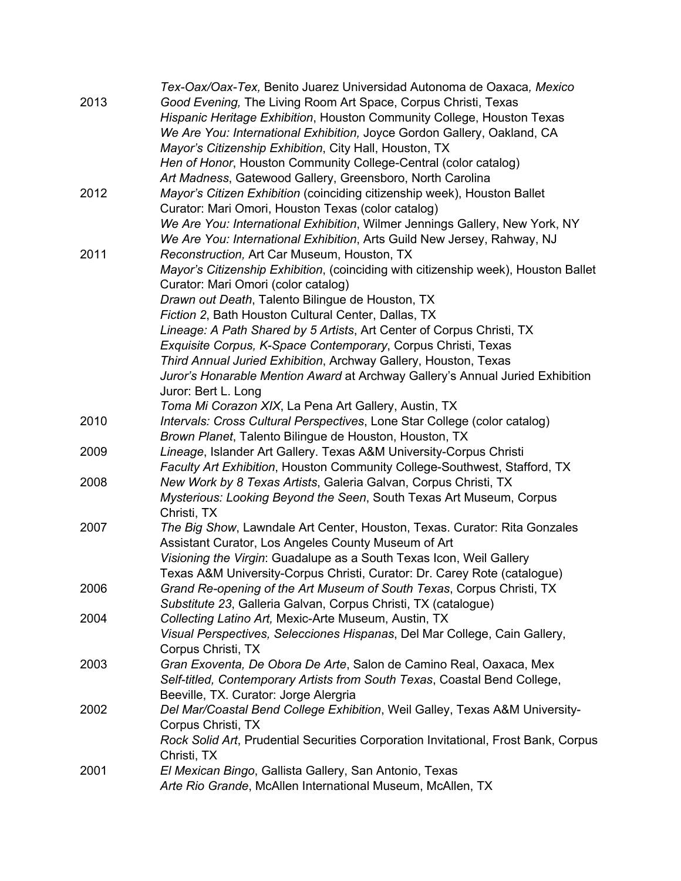|      | Tex-Oax/Oax-Tex, Benito Juarez Universidad Autonoma de Oaxaca, Mexico              |
|------|------------------------------------------------------------------------------------|
| 2013 | Good Evening, The Living Room Art Space, Corpus Christi, Texas                     |
|      | Hispanic Heritage Exhibition, Houston Community College, Houston Texas             |
|      | We Are You: International Exhibition, Joyce Gordon Gallery, Oakland, CA            |
|      | Mayor's Citizenship Exhibition, City Hall, Houston, TX                             |
|      | Hen of Honor, Houston Community College-Central (color catalog)                    |
|      | Art Madness, Gatewood Gallery, Greensboro, North Carolina                          |
| 2012 | Mayor's Citizen Exhibition (coinciding citizenship week), Houston Ballet           |
|      |                                                                                    |
|      | Curator: Mari Omori, Houston Texas (color catalog)                                 |
|      | We Are You: International Exhibition, Wilmer Jennings Gallery, New York, NY        |
|      | We Are You: International Exhibition, Arts Guild New Jersey, Rahway, NJ            |
| 2011 | Reconstruction, Art Car Museum, Houston, TX                                        |
|      | Mayor's Citizenship Exhibition, (coinciding with citizenship week), Houston Ballet |
|      | Curator: Mari Omori (color catalog)                                                |
|      | Drawn out Death, Talento Bilingue de Houston, TX                                   |
|      | Fiction 2, Bath Houston Cultural Center, Dallas, TX                                |
|      | Lineage: A Path Shared by 5 Artists, Art Center of Corpus Christi, TX              |
|      | Exquisite Corpus, K-Space Contemporary, Corpus Christi, Texas                      |
|      | Third Annual Juried Exhibition, Archway Gallery, Houston, Texas                    |
|      | Juror's Honarable Mention Award at Archway Gallery's Annual Juried Exhibition      |
|      | Juror: Bert L. Long                                                                |
|      | Toma Mi Corazon XIX, La Pena Art Gallery, Austin, TX                               |
| 2010 | Intervals: Cross Cultural Perspectives, Lone Star College (color catalog)          |
|      | Brown Planet, Talento Bilingue de Houston, Houston, TX                             |
| 2009 | Lineage, Islander Art Gallery. Texas A&M University-Corpus Christi                 |
|      | Faculty Art Exhibition, Houston Community College-Southwest, Stafford, TX          |
| 2008 | New Work by 8 Texas Artists, Galeria Galvan, Corpus Christi, TX                    |
|      | Mysterious: Looking Beyond the Seen, South Texas Art Museum, Corpus                |
|      | Christi, TX                                                                        |
| 2007 | The Big Show, Lawndale Art Center, Houston, Texas. Curator: Rita Gonzales          |
|      | Assistant Curator, Los Angeles County Museum of Art                                |
|      |                                                                                    |
|      | Visioning the Virgin: Guadalupe as a South Texas Icon, Weil Gallery                |
|      | Texas A&M University-Corpus Christi, Curator: Dr. Carey Rote (catalogue)           |
| 2006 | Grand Re-opening of the Art Museum of South Texas, Corpus Christi, TX              |
|      | Substitute 23, Galleria Galvan, Corpus Christi, TX (catalogue)                     |
| 2004 | Collecting Latino Art, Mexic-Arte Museum, Austin, TX                               |
|      | Visual Perspectives, Selecciones Hispanas, Del Mar College, Cain Gallery,          |
|      | Corpus Christi, TX                                                                 |
| 2003 | Gran Exoventa, De Obora De Arte, Salon de Camino Real, Oaxaca, Mex                 |
|      | Self-titled, Contemporary Artists from South Texas, Coastal Bend College,          |
|      | Beeville, TX. Curator: Jorge Alergria                                              |
| 2002 | Del Mar/Coastal Bend College Exhibition, Weil Galley, Texas A&M University-        |
|      | Corpus Christi, TX                                                                 |
|      | Rock Solid Art, Prudential Securities Corporation Invitational, Frost Bank, Corpus |
|      | Christi, TX                                                                        |
| 2001 | El Mexican Bingo, Gallista Gallery, San Antonio, Texas                             |
|      | Arte Rio Grande, McAllen International Museum, McAllen, TX                         |
|      |                                                                                    |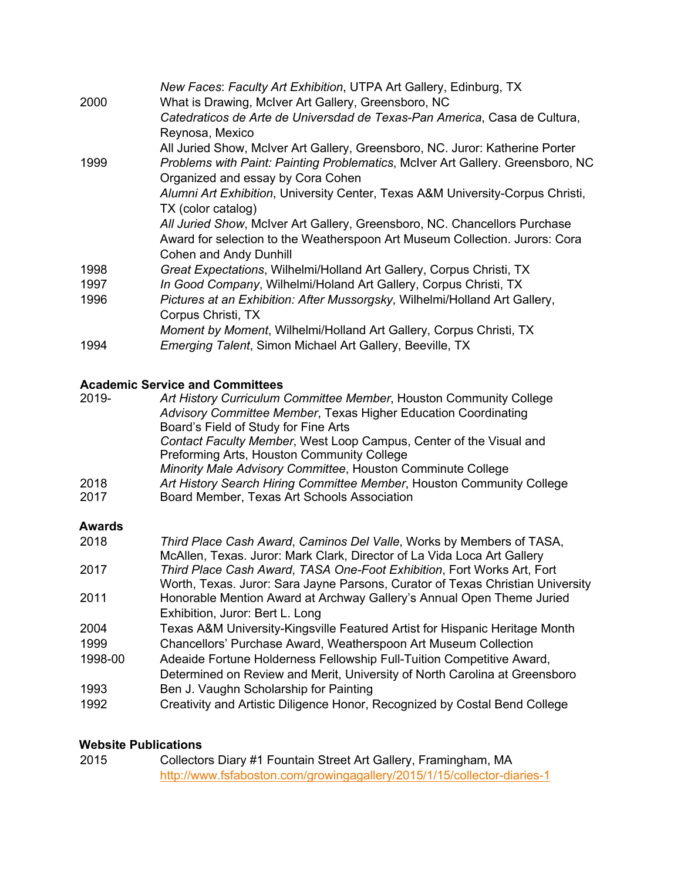|      | New Faces: Faculty Art Exhibition, UTPA Art Gallery, Edinburg, TX              |
|------|--------------------------------------------------------------------------------|
| 2000 | What is Drawing, McIver Art Gallery, Greensboro, NC                            |
|      | Catedraticos de Arte de Universdad de Texas-Pan America, Casa de Cultura,      |
|      | Reynosa, Mexico                                                                |
|      | All Juried Show, McIver Art Gallery, Greensboro, NC. Juror: Katherine Porter   |
| 1999 | Problems with Paint: Painting Problematics, McIver Art Gallery. Greensboro, NC |
|      | Organized and essay by Cora Cohen                                              |
|      | Alumni Art Exhibition, University Center, Texas A&M University-Corpus Christi, |
|      | TX (color catalog)                                                             |
|      | All Juried Show, McIver Art Gallery, Greensboro, NC. Chancellors Purchase      |
|      | Award for selection to the Weatherspoon Art Museum Collection. Jurors: Cora    |
|      | <b>Cohen and Andy Dunhill</b>                                                  |
| 1998 | Great Expectations, Wilhelmi/Holland Art Gallery, Corpus Christi, TX           |
| 1997 | In Good Company, Wilhelmi/Holand Art Gallery, Corpus Christi, TX               |
| 1996 | Pictures at an Exhibition: After Mussorgsky, Wilhelmi/Holland Art Gallery,     |
|      | Corpus Christi, TX                                                             |
|      | Moment by Moment, Wilhelmi/Holland Art Gallery, Corpus Christi, TX             |
| 1994 | <i>Emerging Talent, Simon Michael Art Gallery, Beeville, TX.</i>               |

# **Academic Service and Committees**

| 2019-  | Art History Curriculum Committee Member, Houston Community College    |
|--------|-----------------------------------------------------------------------|
|        | Advisory Committee Member, Texas Higher Education Coordinating        |
|        | Board's Field of Study for Fine Arts                                  |
|        | Contact Faculty Member, West Loop Campus, Center of the Visual and    |
|        | Preforming Arts, Houston Community College                            |
|        | Minority Male Advisory Committee, Houston Comminute College           |
| 2018   | Art History Search Hiring Committee Member, Houston Community College |
| 2017   | Board Member, Texas Art Schools Association                           |
| Awards |                                                                       |
| 2018   | Third Place Cash Award, Caminos Del Valle, Works by Members of TASA,  |

|         | McAllen, Texas. Juror: Mark Clark, Director of La Vida Loca Art Gallery        |
|---------|--------------------------------------------------------------------------------|
| 2017    | Third Place Cash Award, TASA One-Foot Exhibition, Fort Works Art, Fort         |
|         | Worth, Texas. Juror: Sara Jayne Parsons, Curator of Texas Christian University |
| 2011    | Honorable Mention Award at Archway Gallery's Annual Open Theme Juried          |
|         | Exhibition, Juror: Bert L. Long                                                |
| 2004    | Texas A&M University-Kingsville Featured Artist for Hispanic Heritage Month    |
| 1999    | Chancellors' Purchase Award, Weatherspoon Art Museum Collection                |
| 1998-00 | Adeaide Fortune Holderness Fellowship Full-Tuition Competitive Award,          |
|         | Determined on Review and Merit, University of North Carolina at Greensboro     |
| 1993    | Ben J. Vaughn Scholarship for Painting                                         |
| 1992    | Creativity and Artistic Diligence Honor, Recognized by Costal Bend College     |

#### **Website Publications**

| 2015 | Collectors Diary #1 Fountain Street Art Gallery, Framingham, MA         |
|------|-------------------------------------------------------------------------|
|      | http://www.fsfaboston.com/growingagallery/2015/1/15/collector-diaries-1 |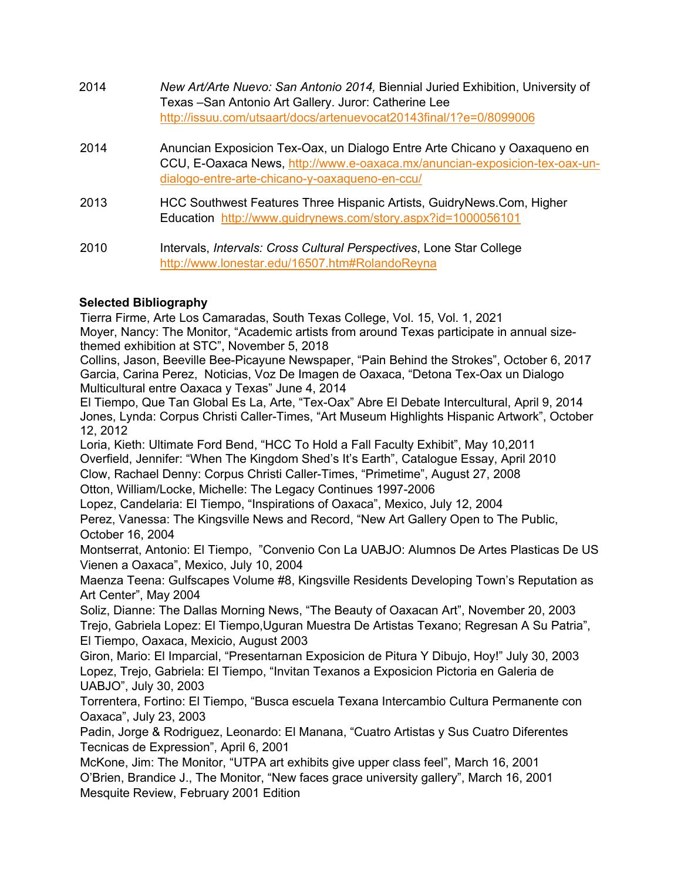| 2014 | New Art/Arte Nuevo: San Antonio 2014, Biennial Juried Exhibition, University of<br>Texas - San Antonio Art Gallery. Juror: Catherine Lee<br>http://issuu.com/utsaart/docs/artenuevocat20143final/1?e=0/8099006 |
|------|----------------------------------------------------------------------------------------------------------------------------------------------------------------------------------------------------------------|
| 2014 | Anuncian Exposicion Tex-Oax, un Dialogo Entre Arte Chicano y Oaxagueno en<br>CCU, E-Oaxaca News, http://www.e-oaxaca.mx/anuncian-exposicion-tex-oax-un-<br>dialogo-entre-arte-chicano-y-oaxaqueno-en-ccu/      |
| 2013 | HCC Southwest Features Three Hispanic Artists, GuidryNews.Com, Higher<br>Education http://www.guidrynews.com/story.aspx?id=1000056101                                                                          |
| 2010 | Intervals, Intervals: Cross Cultural Perspectives, Lone Star College<br>http://www.lonestar.edu/16507.htm#RolandoReyna                                                                                         |

### **Selected Bibliography**

Tierra Firme, Arte Los Camaradas, South Texas College, Vol. 15, Vol. 1, 2021 Moyer, Nancy: The Monitor, "Academic artists from around Texas participate in annual sizethemed exhibition at STC", November 5, 2018

Collins, Jason, Beeville Bee-Picayune Newspaper, "Pain Behind the Strokes", October 6, 2017 Garcia, Carina Perez, Noticias, Voz De Imagen de Oaxaca, "Detona Tex-Oax un Dialogo Multicultural entre Oaxaca y Texas" June 4, 2014

El Tiempo, Que Tan Global Es La, Arte, "Tex-Oax" Abre El Debate Intercultural, April 9, 2014 Jones, Lynda: Corpus Christi Caller-Times, "Art Museum Highlights Hispanic Artwork", October 12, 2012

Loria, Kieth: Ultimate Ford Bend, "HCC To Hold a Fall Faculty Exhibit", May 10,2011 Overfield, Jennifer: "When The Kingdom Shed's It's Earth", Catalogue Essay, April 2010 Clow, Rachael Denny: Corpus Christi Caller-Times, "Primetime", August 27, 2008 Otton, William/Locke, Michelle: The Legacy Continues 1997-2006

Lopez, Candelaria: El Tiempo, "Inspirations of Oaxaca", Mexico, July 12, 2004

Perez, Vanessa: The Kingsville News and Record, "New Art Gallery Open to The Public, October 16, 2004

Montserrat, Antonio: El Tiempo, "Convenio Con La UABJO: Alumnos De Artes Plasticas De US Vienen a Oaxaca", Mexico, July 10, 2004

Maenza Teena: Gulfscapes Volume #8, Kingsville Residents Developing Town's Reputation as Art Center", May 2004

Soliz, Dianne: The Dallas Morning News, "The Beauty of Oaxacan Art", November 20, 2003 Trejo, Gabriela Lopez: El Tiempo,Uguran Muestra De Artistas Texano; Regresan A Su Patria", El Tiempo, Oaxaca, Mexicio, August 2003

Giron, Mario: El Imparcial, "Presentarnan Exposicion de Pitura Y Dibujo, Hoy!" July 30, 2003 Lopez, Trejo, Gabriela: El Tiempo, "Invitan Texanos a Exposicion Pictoria en Galeria de UABJO", July 30, 2003

Torrentera, Fortino: El Tiempo, "Busca escuela Texana Intercambio Cultura Permanente con Oaxaca", July 23, 2003

Padin, Jorge & Rodriguez, Leonardo: El Manana, "Cuatro Artistas y Sus Cuatro Diferentes Tecnicas de Expression", April 6, 2001

McKone, Jim: The Monitor, "UTPA art exhibits give upper class feel", March 16, 2001 O'Brien, Brandice J., The Monitor, "New faces grace university gallery", March 16, 2001 Mesquite Review, February 2001 Edition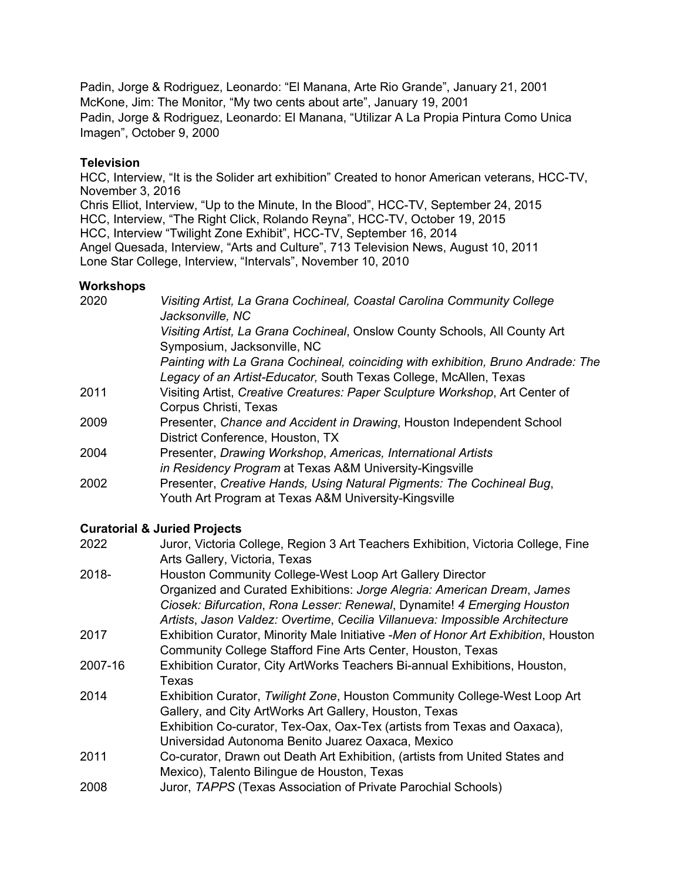Padin, Jorge & Rodriguez, Leonardo: "El Manana, Arte Rio Grande", January 21, 2001 McKone, Jim: The Monitor, "My two cents about arte", January 19, 2001 Padin, Jorge & Rodriguez, Leonardo: El Manana, "Utilizar A La Propia Pintura Como Unica Imagen", October 9, 2000

#### **Television**

HCC, Interview, "It is the Solider art exhibition" Created to honor American veterans, HCC-TV, November 3, 2016 Chris Elliot, Interview, "Up to the Minute, In the Blood", HCC-TV, September 24, 2015 HCC, Interview, "The Right Click, Rolando Reyna", HCC-TV, October 19, 2015 HCC, Interview "Twilight Zone Exhibit", HCC-TV, September 16, 2014 Angel Quesada, Interview, "Arts and Culture", 713 Television News, August 10, 2011 Lone Star College, Interview, "Intervals", November 10, 2010

#### **Workshops**

| 2020 | Visiting Artist, La Grana Cochineal, Coastal Carolina Community College<br>Jacksonville, NC |
|------|---------------------------------------------------------------------------------------------|
|      | Visiting Artist, La Grana Cochineal, Onslow County Schools, All County Art                  |
|      | Symposium, Jacksonville, NC                                                                 |
|      | Painting with La Grana Cochineal, coinciding with exhibition, Bruno Andrade: The            |
|      | Legacy of an Artist-Educator, South Texas College, McAllen, Texas                           |
| 2011 | Visiting Artist, Creative Creatures: Paper Sculpture Workshop, Art Center of                |
|      | Corpus Christi, Texas                                                                       |
| 2009 | Presenter, Chance and Accident in Drawing, Houston Independent School                       |
|      | District Conference, Houston, TX                                                            |
| 2004 | Presenter, Drawing Workshop, Americas, International Artists                                |
|      | in Residency Program at Texas A&M University-Kingsville                                     |
| 2002 | Presenter, Creative Hands, Using Natural Pigments: The Cochineal Bug,                       |
|      | Youth Art Program at Texas A&M University-Kingsville                                        |

### **Curatorial & Juried Projects**

| 2022    | Juror, Victoria College, Region 3 Art Teachers Exhibition, Victoria College, Fine<br>Arts Gallery, Victoria, Texas            |
|---------|-------------------------------------------------------------------------------------------------------------------------------|
| 2018-   | Houston Community College-West Loop Art Gallery Director                                                                      |
|         | Organized and Curated Exhibitions: Jorge Alegria: American Dream, James                                                       |
|         | Ciosek: Bifurcation, Rona Lesser: Renewal, Dynamite! 4 Emerging Houston                                                       |
|         | Artists, Jason Valdez: Overtime, Cecilia Villanueva: Impossible Architecture                                                  |
| 2017    | Exhibition Curator, Minority Male Initiative -Men of Honor Art Exhibition, Houston                                            |
|         | Community College Stafford Fine Arts Center, Houston, Texas                                                                   |
| 2007-16 | Exhibition Curator, City ArtWorks Teachers Bi-annual Exhibitions, Houston,<br>Texas                                           |
| 2014    | Exhibition Curator, Twilight Zone, Houston Community College-West Loop Art                                                    |
|         | Gallery, and City ArtWorks Art Gallery, Houston, Texas                                                                        |
|         | Exhibition Co-curator, Tex-Oax, Oax-Tex (artists from Texas and Oaxaca),<br>Universidad Autonoma Benito Juarez Oaxaca, Mexico |
|         |                                                                                                                               |
| 2011    | Co-curator, Drawn out Death Art Exhibition, (artists from United States and                                                   |
|         | Mexico), Talento Bilingue de Houston, Texas                                                                                   |
| 2008    | Juror, TAPPS (Texas Association of Private Parochial Schools)                                                                 |